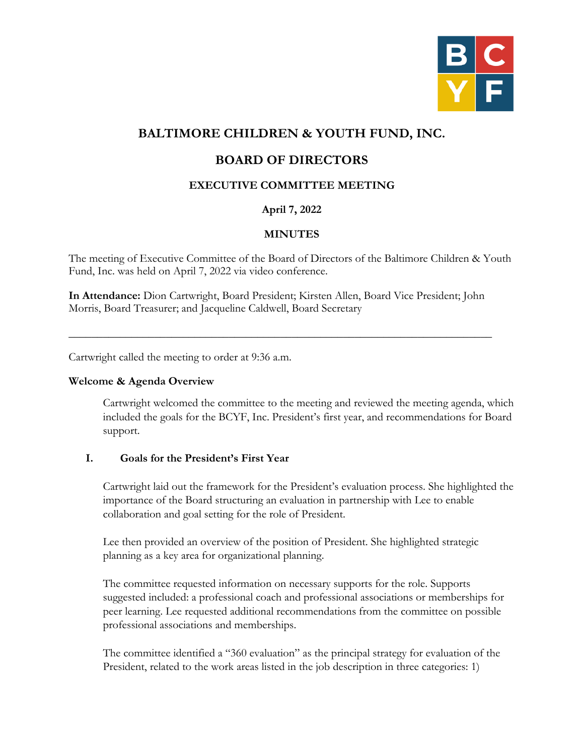

# **BALTIMORE CHILDREN & YOUTH FUND, INC.**

## **BOARD OF DIRECTORS**

## **EXECUTIVE COMMITTEE MEETING**

## **April 7, 2022**

## **MINUTES**

The meeting of Executive Committee of the Board of Directors of the Baltimore Children & Youth Fund, Inc. was held on April 7, 2022 via video conference.

**In Attendance:** Dion Cartwright, Board President; Kirsten Allen, Board Vice President; John Morris, Board Treasurer; and Jacqueline Caldwell, Board Secretary

\_\_\_\_\_\_\_\_\_\_\_\_\_\_\_\_\_\_\_\_\_\_\_\_\_\_\_\_\_\_\_\_\_\_\_\_\_\_\_\_\_\_\_\_\_\_\_\_\_\_\_\_\_\_\_\_\_\_\_\_\_\_\_\_\_\_\_\_\_\_\_\_\_\_

Cartwright called the meeting to order at 9:36 a.m.

#### **Welcome & Agenda Overview**

Cartwright welcomed the committee to the meeting and reviewed the meeting agenda, which included the goals for the BCYF, Inc. President's first year, and recommendations for Board support.

#### **I. Goals for the President's First Year**

Cartwright laid out the framework for the President's evaluation process. She highlighted the importance of the Board structuring an evaluation in partnership with Lee to enable collaboration and goal setting for the role of President.

Lee then provided an overview of the position of President. She highlighted strategic planning as a key area for organizational planning.

The committee requested information on necessary supports for the role. Supports suggested included: a professional coach and professional associations or memberships for peer learning. Lee requested additional recommendations from the committee on possible professional associations and memberships.

The committee identified a "360 evaluation" as the principal strategy for evaluation of the President, related to the work areas listed in the job description in three categories: 1)